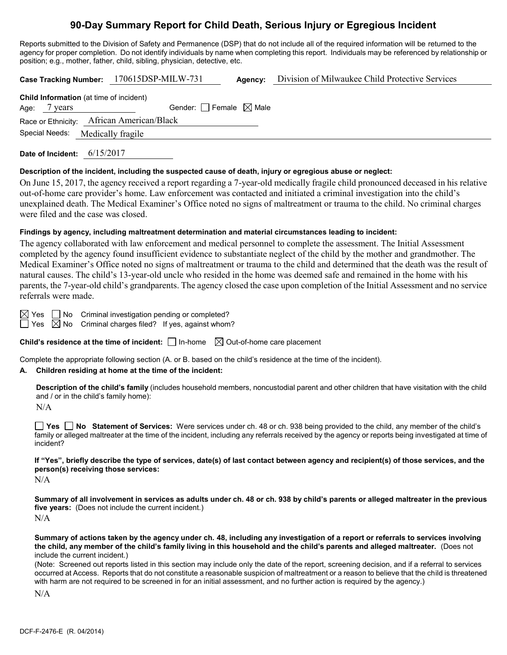# **90-Day Summary Report for Child Death, Serious Injury or Egregious Incident**

Reports submitted to the Division of Safety and Permanence (DSP) that do not include all of the required information will be returned to the agency for proper completion. Do not identify individuals by name when completing this report. Individuals may be referenced by relationship or position; e.g., mother, father, child, sibling, physician, detective, etc.

**Case Tracking Number:** 170615DSP-MILW-731 **Agency:** Division of Milwaukee Child Protective Services **Child Information** (at time of incident)

| Age:<br>years | Gender: $\Box$ Female $\boxtimes$ Male    |  |
|---------------|-------------------------------------------|--|
|               | Race or Ethnicity: African American/Black |  |
|               | Special Needs: Medically fragile          |  |
|               |                                           |  |

**Date of Incident:** 6/15/2017

### **Description of the incident, including the suspected cause of death, injury or egregious abuse or neglect:**

On June 15, 2017, the agency received a report regarding a 7-year-old medically fragile child pronounced deceased in his relative out-of-home care provider's home. Law enforcement was contacted and initiated a criminal investigation into the child's unexplained death. The Medical Examiner's Office noted no signs of maltreatment or trauma to the child. No criminal charges were filed and the case was closed.

### **Findings by agency, including maltreatment determination and material circumstances leading to incident:**

The agency collaborated with law enforcement and medical personnel to complete the assessment. The Initial Assessment completed by the agency found insufficient evidence to substantiate neglect of the child by the mother and grandmother. The Medical Examiner's Office noted no signs of maltreatment or trauma to the child and determined that the death was the result of natural causes. The child's 13-year-old uncle who resided in the home was deemed safe and remained in the home with his parents, the 7-year-old child's grandparents. The agency closed the case upon completion of the Initial Assessment and no service referrals were made.

 $\boxtimes$  Yes  $\Box$  No Criminal investigation pending or completed?  $\Box$  Yes  $\boxtimes$  No Criminal charges filed? If yes, against whom?

**Child's residence at the time of incident:**  $\Box$  In-home  $\Box$  Out-of-home care placement

Complete the appropriate following section (A. or B. based on the child's residence at the time of the incident).

### **A. Children residing at home at the time of the incident:**

**Description of the child's family** (includes household members, noncustodial parent and other children that have visitation with the child and / or in the child's family home):

N/A

**Yes No Statement of Services:** Were services under ch. 48 or ch. 938 being provided to the child, any member of the child's family or alleged maltreater at the time of the incident, including any referrals received by the agency or reports being investigated at time of incident?

**If "Yes", briefly describe the type of services, date(s) of last contact between agency and recipient(s) of those services, and the person(s) receiving those services:**

N/A

**Summary of all involvement in services as adults under ch. 48 or ch. 938 by child's parents or alleged maltreater in the previous five years:** (Does not include the current incident.)  $N/A$ 

**Summary of actions taken by the agency under ch. 48, including any investigation of a report or referrals to services involving the child, any member of the child's family living in this household and the child's parents and alleged maltreater.** (Does not include the current incident.)

(Note: Screened out reports listed in this section may include only the date of the report, screening decision, and if a referral to services occurred at Access. Reports that do not constitute a reasonable suspicion of maltreatment or a reason to believe that the child is threatened with harm are not required to be screened in for an initial assessment, and no further action is required by the agency.)

N/A